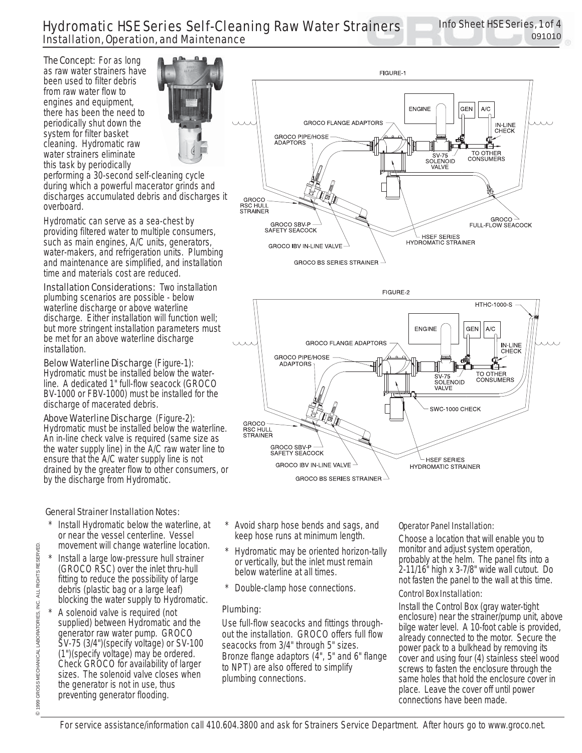# Hydromatic HSE Series Self-Cleaning Raw Water Strainers Installation, Operation, and Maintenance

**The Concept:** For as long as raw water strainers have been used to filter debris from raw water flow to engines and equipment, there has been the need to periodically shut down the system for filter basket cleaning. Hydromatic raw water strainers eliminate this task by periodically



performing a 30-second self-cleaning cycle during which a powerful macerator grinds and discharges accumulated debris and discharges it overboard.

Hydromatic can serve as a sea-chest by providing filtered water to multiple consumers, such as main engines, A/C units, generators, water-makers, and refrigeration units. Plumbing and maintenance are simplified, and installation time and materials cost are reduced.

**Installation Considerations:** Two installation plumbing scenarios are possible - below waterline discharge or above waterline discharge. Either installation will function well; but more stringent installation parameters must be met for an above waterline discharge installation.

Below Waterline Discharge (Figure-1): Hydromatic must be installed below the waterline. A dedicated 1" full-flow seacock (GROCO BV-1000 or FBV-1000) must be installed for the discharge of macerated debris.

Above Waterline Discharge (Figure-2): Hydromatic must be installed below the waterline. An in-line check valve is required (same size as the water supply line) in the A/C raw water line to ensure that the A/C water supply line is not drained by the greater flow to other consumers, or by the discharge from Hydromatic.

### General Strainer Installation Notes:

- Install Hydromatic below the waterline, at or near the vessel centerline. Vessel movement will change waterline location.
- \* Install a large low-pressure hull strainer (GROCO RSC) over the inlet thru-hull fitting to reduce the possibility of large debris (plastic bag or a large leaf) blocking the water supply to Hydromatic.
- A solenoid valve is required (not supplied) between Hydromatic and the generator raw water pump. GROCO SV-75 (3/4")(specify voltage) or SV-100 (1")(specify voltage) may be ordered. Check GROCO for availability of larger sizes. The solenoid valve closes when the generator is not in use, thus preventing generator flooding.
- Avoid sharp hose bends and sags, and keep hose runs at minimum length.
- Hydromatic may be oriented horizon-tally or vertically, but the inlet must remain below waterline at all times.
- Double-clamp hose connections.

#### Plumbing:

Use full-flow seacocks and fittings throughout the installation. GROCO offers full flow seacocks from 3/4" through 5" sizes. Bronze flange adaptors (4", 5" and 6" flange to NPT) are also offered to simplify plumbing connections.

#### Operator Panel Installation:

Choose a location that will enable you to monitor and adjust system operation, probably at the helm. The panel fits into a 2-11/16" high x 3-7/8" wide wall cutout. Do not fasten the panel to the wall at this time.

#### Control Box Installation:

Install the Control Box (gray water-tight enclosure) near the strainer/pump unit, above bilge water level. A 10-foot cable is provided, already connected to the motor. Secure the power pack to a bulkhead by removing its cover and using four (4) stainless steel wood screws to fasten the enclosure through the same holes that hold the enclosure cover in place. Leave the cover off until power connections have been made.



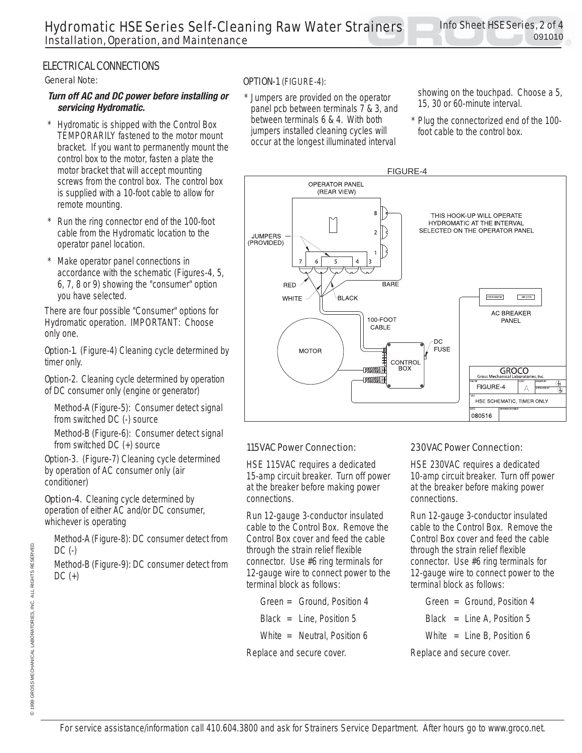## ELECTRICAL CONNECTIONS

#### General Note:

#### *Turn off AC and DC power before installing or servicing Hydromatic.*

- Hydromatic is shipped with the Control Box TEMPORARILY fastened to the motor mount bracket. If you want to permanently mount the control box to the motor, fasten a plate the motor bracket that will accept mounting screws from the control box. The control box is supplied with a 10-foot cable to allow for remote mounting.
- Run the ring connector end of the 100-foot cable from the Hydromatic location to the operator panel location.
- Make operator panel connections in accordance with the schematic (Figures-4, 5, 6, 7, 8 or 9) showing the "consumer" option you have selected.

There are four possible "Consumer" options for Hydromatic operation. IMPORTANT: Choose only one.

**Option-1.** (Figure-4) Cleaning cycle determined by timer only.

**Option-2.** Cleaning cycle determined by operation of DC consumer only (engine or generator)

Method-A (Figure-5): Consumer detect signal from switched DC (-) source

Method-B (Figure-6): Consumer detect signal from switched DC (+) source

**Option-3.** (Figure-7) Cleaning cycle determined by operation of AC consumer only (air conditioner)

**Option-4.** Cleaning cycle determined by operation of either AC and/or DC consumer, whichever is operating

Method-A (Figure-8): DC consumer detect from DC (-)

Method-B (Figure-9): DC consumer detect from  $DC (+)$ 

#### OPTION-1 (FIGURE-4):

Jumpers are provided on the operator panel pcb between terminals 7 & 3, and between terminals 6 & 4. With both jumpers installed cleaning cycles will occur at the longest illuminated interval

showing on the touchpad. Choose a 5, 15, 30 or 60-minute interval.

Plug the connectorized end of the 100foot cable to the control box.



#### 115VAC Power Connection:

HSE 115VAC requires a dedicated 15-amp circuit breaker. Turn off power at the breaker before making power connections.

Run 12-gauge 3-conductor insulated cable to the Control Box. Remove the Control Box cover and feed the cable through the strain relief flexible connector. Use #6 ring terminals for 12-gauge wire to connect power to the terminal block as follows:

 Green = Ground, Position 4 Black = Line, Position 5 White = Neutral, Position 6

Replace and secure cover.

#### 230VAC Power Connection:

HSE 230VAC requires a dedicated 10-amp circuit breaker. Turn off power at the breaker before making power connections.

Run 12-gauge 3-conductor insulated cable to the Control Box. Remove the Control Box cover and feed the cable through the strain relief flexible connector. Use #6 ring terminals for 12-gauge wire to connect power to the terminal block as follows:

- Green = Ground, Position 4
- Black = Line A, Position 5
- White  $=$  Line B. Position 6

Replace and secure cover.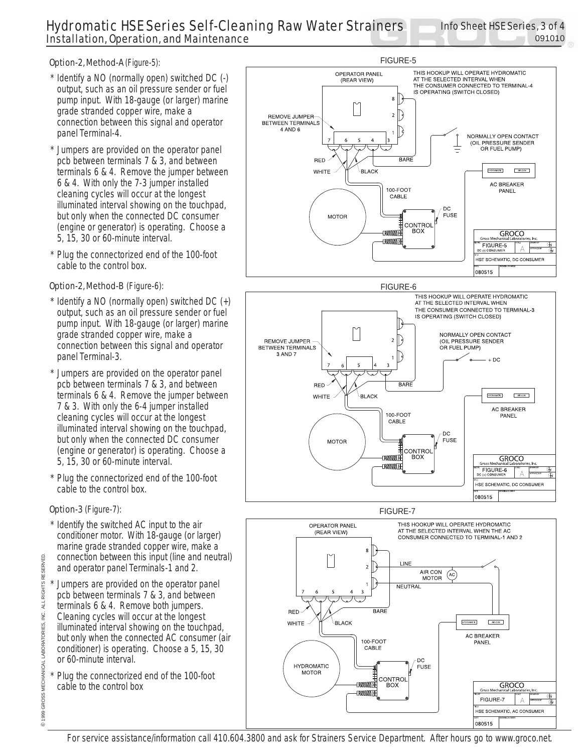# Hydromatic HSE Series Self-Cleaning Raw Water Strainers Installation, Operation, and Maintenance

## Option-2, Method-A (Figure-5):

- Identify a NO (normally open) switched DC (-) output, such as an oil pressure sender or fuel pump input. With 18-gauge (or larger) marine grade stranded copper wire, make a connection between this signal and operator panel Terminal-4.
- Jumpers are provided on the operator panel pcb between terminals 7 & 3, and between terminals 6 & 4. Remove the jumper between 6 & 4. With only the 7-3 jumper installed cleaning cycles will occur at the longest illuminated interval showing on the touchpad, but only when the connected DC consumer (engine or generator) is operating. Choose a 5, 15, 30 or 60-minute interval.
- Plug the connectorized end of the 100-foot cable to the control box.

## Option-2, Method-B (Figure-6):

- Identify a NO (normally open) switched DC  $(+)$ output, such as an oil pressure sender or fuel pump input. With 18-gauge (or larger) marine grade stranded copper wire, make a connection between this signal and operator panel Terminal-3.
- Jumpers are provided on the operator panel pcb between terminals 7 & 3, and between terminals 6 & 4. Remove the jumper between 7 & 3. With only the 6-4 jumper installed cleaning cycles will occur at the longest illuminated interval showing on the touchpad, but only when the connected DC consumer (engine or generator) is operating. Choose a 5, 15, 30 or 60-minute interval.
- Plug the connectorized end of the 100-foot cable to the control box.

# Option-3 (Figure-7):

- Identify the switched AC input to the air conditioner motor. With 18-gauge (or larger) marine grade stranded copper wire, make a connection between this input (line and neutral) and operator panel Terminals-1 and 2.
- Jumpers are provided on the operator panel pcb between terminals 7 & 3, and between terminals 6 & 4. Remove both jumpers. Cleaning cycles will occur at the longest illuminated interval showing on the touchpad, but only when the connected AC consumer (air conditioner) is operating. Choose a 5, 15, 30 or 60-minute interval.
- Plug the connectorized end of the 100-foot cable to the control box



FIGURE-7



For service assistance/information call 410.604.3800 and ask for Strainers Service Department. After hours go to www.groco.net.

©